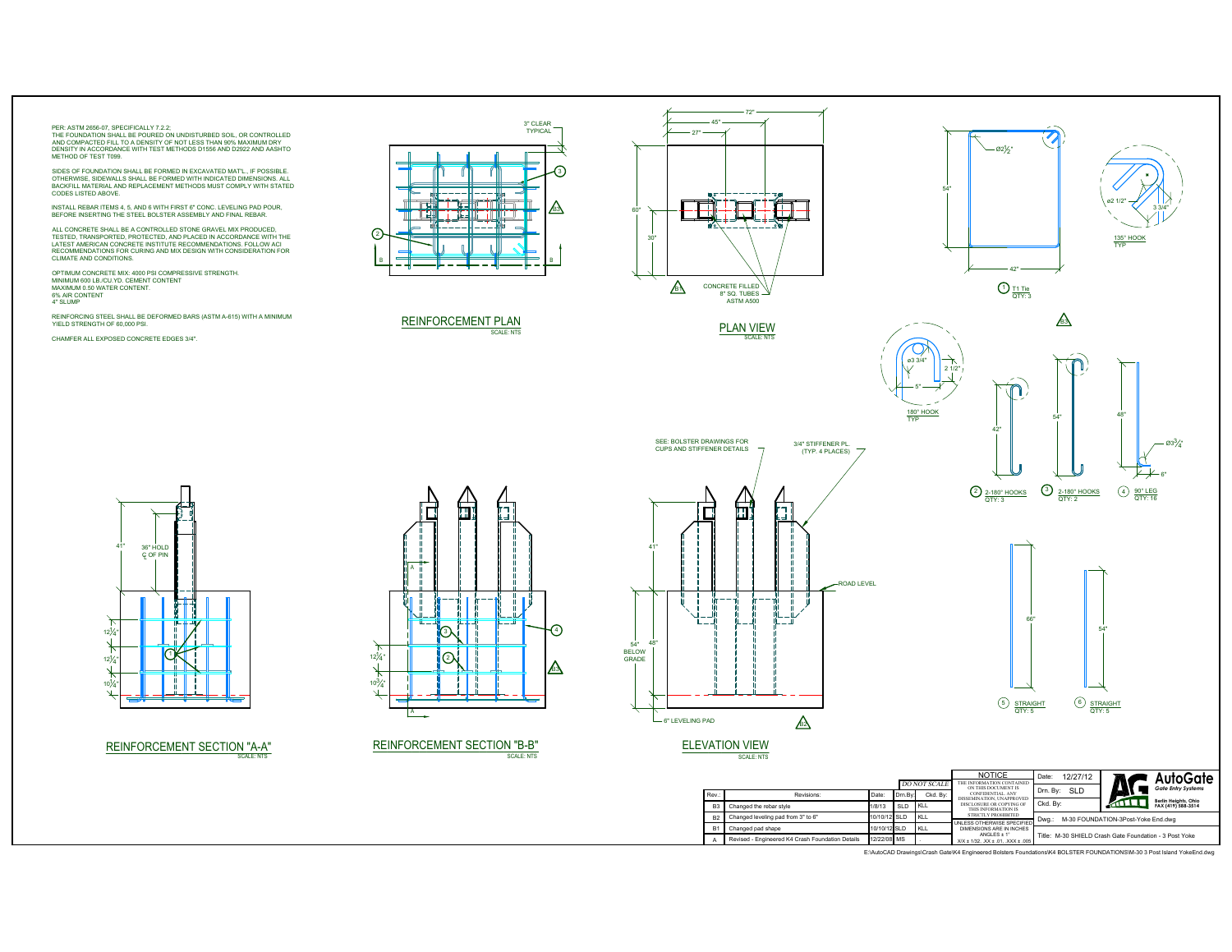## PER: ASTM 2656-07, SPECIFICALLY 7.2.2;

THE FOUNDATION SHALL BE POURED ON UNDISTURBED SOIL, OR CONTROLLED<br>AND COMPACTED FILL TO A DENSITY OF NOT LESS THAN 90% MAXIMUM DRY<br>DENSITY IN ACCORDANCE WITH TEST METHODS D1556 AND D2922 AND AASHTO<br>METHOD OF TEST T099

SIDES OF FOUNDATION SHALL BE FORMED IN EXCAVATED MAT'L., IF POSSIBLE.<br>OTHERWISE, SIDEWALLS SHALL BE FORMED WITH INDICATED DIMENSIONS. ALL<br>BACKFILL MATERIAL AND REPLACEMENT METHODS MUST COMPLY WITH STATED<br>CODES LISTED ABOVE

INSTALL REBAR ITEMS 4, 5, AND 6 WITH FIRST 6" CONC. LEVELING PAD POUR, BEFORE INSERTING THE STEEL BOLSTER ASSEMBLY AND FINAL REBAR.

ALL CONCRETE SHALL BE A CONTROLLED STONE GRAVEL MIX PRODUCED, TESTED, TRANSPORTED, PROTECTED, AND PLACED IN ACCORDANCE WITH THE<br>LATEST AMERICAN CONCRETE INSTITUTE RECOMMENDATIONS. FOLLOW ACI<br>RECOMMENDATIONS FOR CURING AND MIX DESIGN WITH CONSIDERATION FOR CLIMATE AND CONDITIONS.

OPTIMUM CONCRETE MIX: 4000 PSI COMPRESSIVE STRENGTH.<br>MINIMUM 600 LB./CU.YD. CEMENT CONTENT<br>MAXIMIJM 0.50 WATER CONTENT 6% AIR CONTENT 4" SLUMP

REINFORCING STEEL SHALL BE DEFORMED BARS (ASTM A-615) WITH A MINIMUM YIELD STRENGTH OF 60,000 PSI.

CHAMFER ALL EXPOSED CONCRETE EDGES 3/4".



REINFORCEMENT PLAN SCALE: NTS





3/4" STIFFENER PL.

SEE: BOLSTER DRAWINGS FOR CUPS AND STIFFENER DETAILS





 $\frac{2}{2}$   $\frac{2.180^{\circ} \text{ HOOKS}}{2 \text{ TV: 3}}$   $\frac{3}{2}$   $\frac{2.180^{\circ} \text{ HOOKS}}{2 \text{ TV: 2}}$ 

ø2 1/2"

135° HOOK TYP

4) 90° LEG<br>QTY: 16

3 3/4"



'n, г A ÷ Ë 3 4  $\overrightarrow{12\frac{1}{4}}$  $^{\circledR}$  $\mathbb{A}$ <sup>10</sup><sup>3</sup> 4"  $\downarrow$ A

SCALE: NTS REINFORCEMENT SECTION "A-A" REINFORCEMENT SECTION "B-B" ELEVATION VIEW SCALE: NTS



SCALE: NTS

| 66"                      |                                         |
|--------------------------|-----------------------------------------|
|                          | 54"                                     |
|                          |                                         |
| (5<br>STRAIGHT<br>QTY: 5 | $\left( 6\right)$<br>STRAIGHT<br>QTY: 5 |

|                |                                                  |              |         |                                 | <b>NOTICE</b><br>THE INFORMATION CONTAINED                                   | Date:                                                  | 12/27/12   |    | AutoGate                                   |
|----------------|--------------------------------------------------|--------------|---------|---------------------------------|------------------------------------------------------------------------------|--------------------------------------------------------|------------|----|--------------------------------------------|
| Rev.:          | Revisions:                                       | Date:        | Drn.Bv: | <b>DO NOT SCALE</b><br>Ckd. Bv: | ON THIS DOCUMENT IS<br>CONFIDENTIAL, ANY                                     | Drn. By:                                               | <b>SLD</b> |    | <b>Gate Entry Systems</b>                  |
| B <sub>3</sub> | Changed the rebar style                          | 1/8/13       | SLD.    | KLL                             | DISSEMINATION. UNAPPROVED<br>DISCLOSURE OR COPYING OF<br>THIS INFORMATION IS | Ckd, Bv:                                               |            | ИЩ | Berlin Heights, Ohio<br>FAX (419) 588-3514 |
| B <sub>2</sub> | Changed leveling pad from 3" to 6"               | 10/10/12 SLD |         | KLL                             | <b>STRICTLY PROHIBITED</b><br>UNI ESS OTHERWISE SPECIFIED                    | Dwa.:<br>M-30 FOUNDATION-3Post-Yoke End.dwg            |            |    |                                            |
| B.             | Changed pad shape                                | 10/10/12 SLD |         | KLL                             | DIMENSIONS ARE IN INCHES                                                     | Title: M-30 SHIELD Crash Gate Foundation - 3 Post Yoke |            |    |                                            |
|                | Revised - Engineered K4 Crash Foundation Details | 12/22/08 MS  |         |                                 | ANGLES ± 1°<br>$X/X \pm 1/32$ . $XX \pm .01$ . $XXX \pm .005$                |                                                        |            |    |                                            |

E:\AutoCAD Drawings\Crash Gate\K4 Engineered Bolsters Foundations\K4 BOLSTER FOUNDATIONS\M-30 3 Post Island YokeEnd.dwg